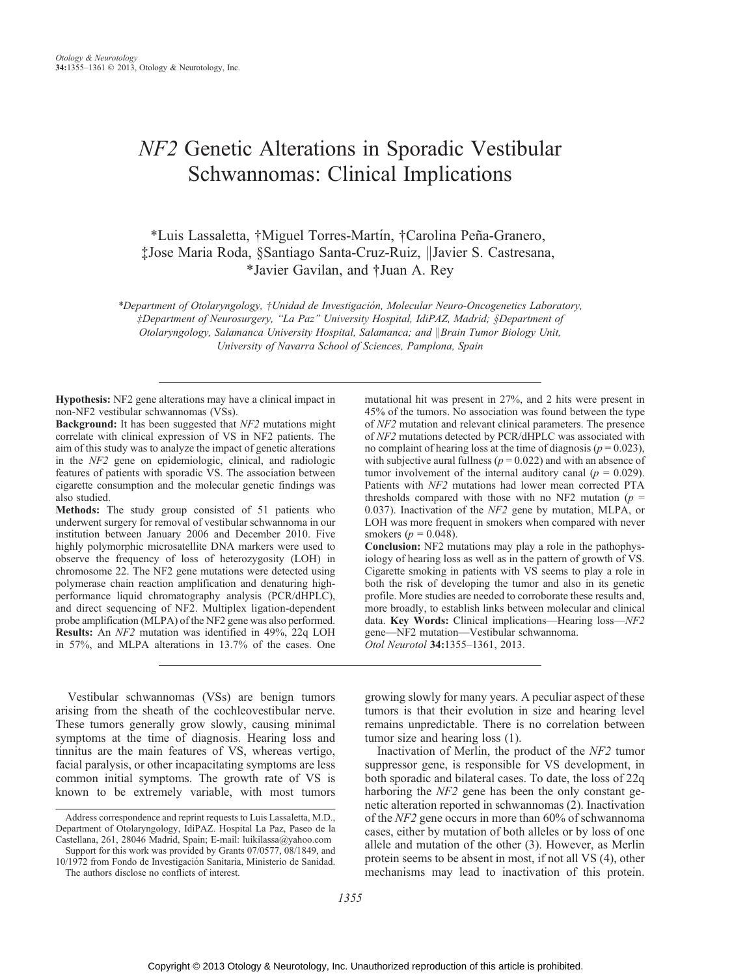# NF2 Genetic Alterations in Sporadic Vestibular Schwannomas: Clinical Implications

\*Luis Lassaletta, †Miguel Torres-Martín, †Carolina Peña-Granero, ‡Jose Maria Roda, §Santiago Santa-Cruz-Ruiz, kJavier S. Castresana, \*Javier Gavilan, and †Juan A. Rey

\*Department of Otolaryngology, †Unidad de Investigación, Molecular Neuro-Oncogenetics Laboratory, þDepartment of Neurosurgery, ''La Paz'' University Hospital, IdiPAZ, Madrid; §Department of Otolaryngology, Salamanca University Hospital, Salamanca; and ||Brain Tumor Biology Unit, University of Navarra School of Sciences, Pamplona, Spain

Hypothesis: NF2 gene alterations may have a clinical impact in non-NF2 vestibular schwannomas (VSs).

Background: It has been suggested that NF2 mutations might correlate with clinical expression of VS in NF2 patients. The aim of this study was to analyze the impact of genetic alterations in the NF2 gene on epidemiologic, clinical, and radiologic features of patients with sporadic VS. The association between cigarette consumption and the molecular genetic findings was also studied.

Methods: The study group consisted of 51 patients who underwent surgery for removal of vestibular schwannoma in our institution between January 2006 and December 2010. Five highly polymorphic microsatellite DNA markers were used to observe the frequency of loss of heterozygosity (LOH) in chromosome 22. The NF2 gene mutations were detected using polymerase chain reaction amplification and denaturing highperformance liquid chromatography analysis (PCR/dHPLC), and direct sequencing of NF2. Multiplex ligation-dependent probe amplification (MLPA) of the NF2 gene was also performed. Results: An NF2 mutation was identified in 49%, 22q LOH in 57%, and MLPA alterations in 13.7% of the cases. One

Vestibular schwannomas (VSs) are benign tumors arising from the sheath of the cochleovestibular nerve. These tumors generally grow slowly, causing minimal symptoms at the time of diagnosis. Hearing loss and tinnitus are the main features of VS, whereas vertigo, facial paralysis, or other incapacitating symptoms are less common initial symptoms. The growth rate of VS is known to be extremely variable, with most tumors mutational hit was present in 27%, and 2 hits were present in 45% of the tumors. No association was found between the type of NF2 mutation and relevant clinical parameters. The presence of NF2 mutations detected by PCR/dHPLC was associated with no complaint of hearing loss at the time of diagnosis ( $p = 0.023$ ), with subjective aural fullness ( $p = 0.022$ ) and with an absence of tumor involvement of the internal auditory canal ( $p = 0.029$ ). Patients with NF2 mutations had lower mean corrected PTA thresholds compared with those with no NF2 mutation ( $p =$ 0.037). Inactivation of the NF2 gene by mutation, MLPA, or LOH was more frequent in smokers when compared with never smokers ( $p = 0.048$ ).

Conclusion: NF2 mutations may play a role in the pathophysiology of hearing loss as well as in the pattern of growth of VS. Cigarette smoking in patients with VS seems to play a role in both the risk of developing the tumor and also in its genetic profile. More studies are needed to corroborate these results and, more broadly, to establish links between molecular and clinical data. Key Words: Clinical implications—Hearing loss— $NF2$ gene-NF2 mutation-Vestibular schwannoma.

Otol Neurotol 34:1355-1361, 2013.

growing slowly for many years. A peculiar aspect of these tumors is that their evolution in size and hearing level remains unpredictable. There is no correlation between tumor size and hearing loss (1).

Inactivation of Merlin, the product of the NF2 tumor suppressor gene, is responsible for VS development, in both sporadic and bilateral cases. To date, the loss of 22q harboring the NF2 gene has been the only constant genetic alteration reported in schwannomas (2). Inactivation of the NF2 gene occurs in more than 60% of schwannoma cases, either by mutation of both alleles or by loss of one allele and mutation of the other (3). However, as Merlin protein seems to be absent in most, if not all VS (4), other mechanisms may lead to inactivation of this protein.

Address correspondence and reprint requests to Luis Lassaletta, M.D., Department of Otolaryngology, IdiPAZ. Hospital La Paz, Paseo de la Castellana, 261, 28046 Madrid, Spain; E-mail:<luikilassa@yahoo.com>

Support for this work was provided by Grants 07/0577, 08/1849, and 10/1972 from Fondo de Investigación Sanitaria, Ministerio de Sanidad.

The authors disclose no conflicts of interest.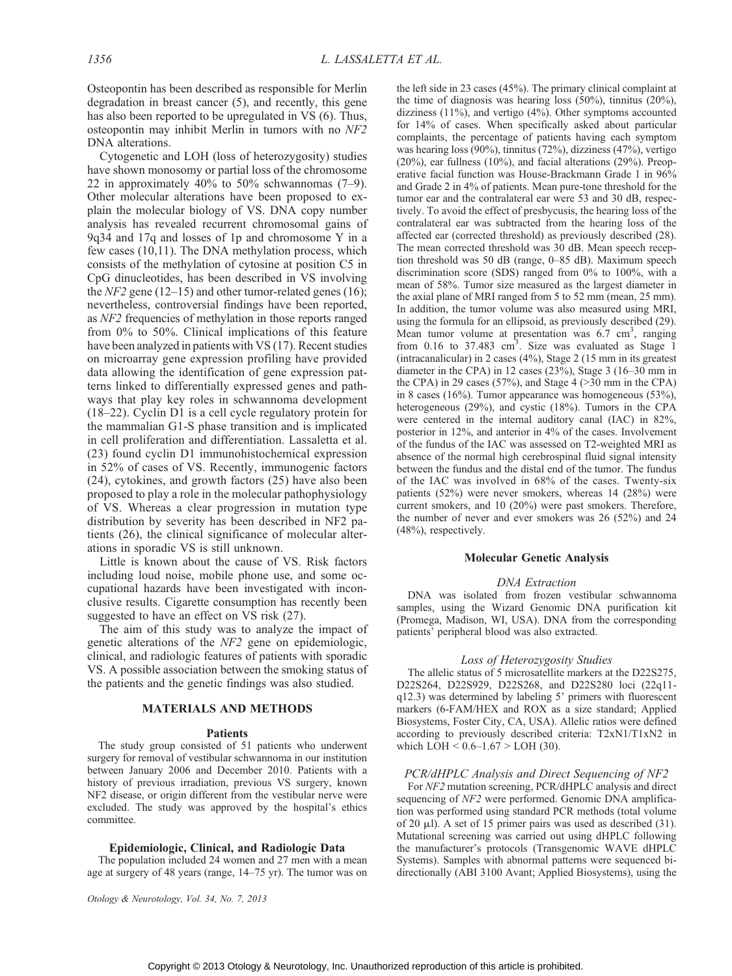Osteopontin has been described as responsible for Merlin degradation in breast cancer (5), and recently, this gene has also been reported to be upregulated in VS (6). Thus, osteopontin may inhibit Merlin in tumors with no NF2 DNA alterations.

Cytogenetic and LOH (loss of heterozygosity) studies have shown monosomy or partial loss of the chromosome 22 in approximately 40% to 50% schwannomas  $(7-9)$ . Other molecular alterations have been proposed to explain the molecular biology of VS. DNA copy number analysis has revealed recurrent chromosomal gains of 9q34 and 17q and losses of 1p and chromosome Y in a few cases (10,11). The DNA methylation process, which consists of the methylation of cytosine at position C5 in CpG dinucleotides, has been described in VS involving the  $NF2$  gene (12-15) and other tumor-related genes (16); nevertheless, controversial findings have been reported, as NF2 frequencies of methylation in those reports ranged from 0% to 50%. Clinical implications of this feature have been analyzed in patients with VS (17). Recent studies on microarray gene expression profiling have provided data allowing the identification of gene expression patterns linked to differentially expressed genes and pathways that play key roles in schwannoma development  $(18-22)$ . Cyclin D1 is a cell cycle regulatory protein for the mammalian G1-S phase transition and is implicated in cell proliferation and differentiation. Lassaletta et al. (23) found cyclin D1 immunohistochemical expression in 52% of cases of VS. Recently, immunogenic factors (24), cytokines, and growth factors (25) have also been proposed to play a role in the molecular pathophysiology of VS. Whereas a clear progression in mutation type distribution by severity has been described in NF2 patients (26), the clinical significance of molecular alterations in sporadic VS is still unknown.

Little is known about the cause of VS. Risk factors including loud noise, mobile phone use, and some occupational hazards have been investigated with inconclusive results. Cigarette consumption has recently been suggested to have an effect on VS risk (27).

The aim of this study was to analyze the impact of genetic alterations of the NF2 gene on epidemiologic, clinical, and radiologic features of patients with sporadic VS. A possible association between the smoking status of the patients and the genetic findings was also studied.

## MATERIALS AND METHODS

#### Patients

The study group consisted of 51 patients who underwent surgery for removal of vestibular schwannoma in our institution between January 2006 and December 2010. Patients with a history of previous irradiation, previous VS surgery, known NF2 disease, or origin different from the vestibular nerve were excluded. The study was approved by the hospital's ethics committee.

#### Epidemiologic, Clinical, and Radiologic Data

The population included 24 women and 27 men with a mean age at surgery of 48 years (range, 14-75 yr). The tumor was on

Otology & Neurotology, Vol. 34, No. 7, 2013

the left side in 23 cases (45%). The primary clinical complaint at the time of diagnosis was hearing loss (50%), tinnitus (20%), dizziness (11%), and vertigo (4%). Other symptoms accounted for 14% of cases. When specifically asked about particular complaints, the percentage of patients having each symptom was hearing loss (90%), tinnitus (72%), dizziness (47%), vertigo (20%), ear fullness (10%), and facial alterations (29%). Preoperative facial function was House-Brackmann Grade 1 in 96% and Grade 2 in 4% of patients. Mean pure-tone threshold for the tumor ear and the contralateral ear were 53 and 30 dB, respectively. To avoid the effect of presbycusis, the hearing loss of the contralateral ear was subtracted from the hearing loss of the affected ear (corrected threshold) as previously described (28). The mean corrected threshold was 30 dB. Mean speech reception threshold was 50 dB (range,  $0-85$  dB). Maximum speech discrimination score (SDS) ranged from 0% to 100%, with a mean of 58%. Tumor size measured as the largest diameter in the axial plane of MRI ranged from 5 to 52 mm (mean, 25 mm). In addition, the tumor volume was also measured using MRI, using the formula for an ellipsoid, as previously described (29). Mean tumor volume at presentation was 6.7 cm<sup>3</sup>, ranging from  $0.16$  to  $37.483$   $\text{cm}^3$ . Size was evaluated as Stage 1 (intracanalicular) in 2 cases (4%), Stage 2 (15 mm in its greatest diameter in the CPA) in 12 cases  $(23\%)$ , Stage 3 (16–30 mm in the CPA) in 29 cases (57%), and Stage 4 ( $>$ 30 mm in the CPA) in 8 cases (16%). Tumor appearance was homogeneous (53%), heterogeneous (29%), and cystic (18%). Tumors in the CPA were centered in the internal auditory canal (IAC) in 82%, posterior in 12%, and anterior in 4% of the cases. Involvement of the fundus of the IAC was assessed on T2-weighted MRI as absence of the normal high cerebrospinal fluid signal intensity between the fundus and the distal end of the tumor. The fundus of the IAC was involved in 68% of the cases. Twenty-six patients (52%) were never smokers, whereas 14 (28%) were current smokers, and 10 (20%) were past smokers. Therefore, the number of never and ever smokers was 26 (52%) and 24 (48%), respectively.

## Molecular Genetic Analysis

## DNA Extraction

DNA was isolated from frozen vestibular schwannoma samples, using the Wizard Genomic DNA purification kit (Promega, Madison, WI, USA). DNA from the corresponding patients' peripheral blood was also extracted.

#### Loss of Heterozygosity Studies

The allelic status of 5 microsatellite markers at the D22S275, D22S264, D22S929, D22S268, and D22S280 loci (22q11 q12.3) was determined by labeling 5' primers with fluorescent markers (6-FAM/HEX and ROX as a size standard; Applied Biosystems, Foster City, CA, USA). Allelic ratios were defined according to previously described criteria: T2xN1/T1xN2 in which LOH  $< 0.6 - 1.67 >$  LOH (30).

## PCR/dHPLC Analysis and Direct Sequencing of NF2

For NF2 mutation screening, PCR/dHPLC analysis and direct sequencing of NF2 were performed. Genomic DNA amplification was performed using standard PCR methods (total volume of 20  $\mu$ l). A set of 15 primer pairs was used as described (31). Mutational screening was carried out using dHPLC following the manufacturer's protocols (Transgenomic WAVE dHPLC Systems). Samples with abnormal patterns were sequenced bidirectionally (ABI 3100 Avant; Applied Biosystems), using the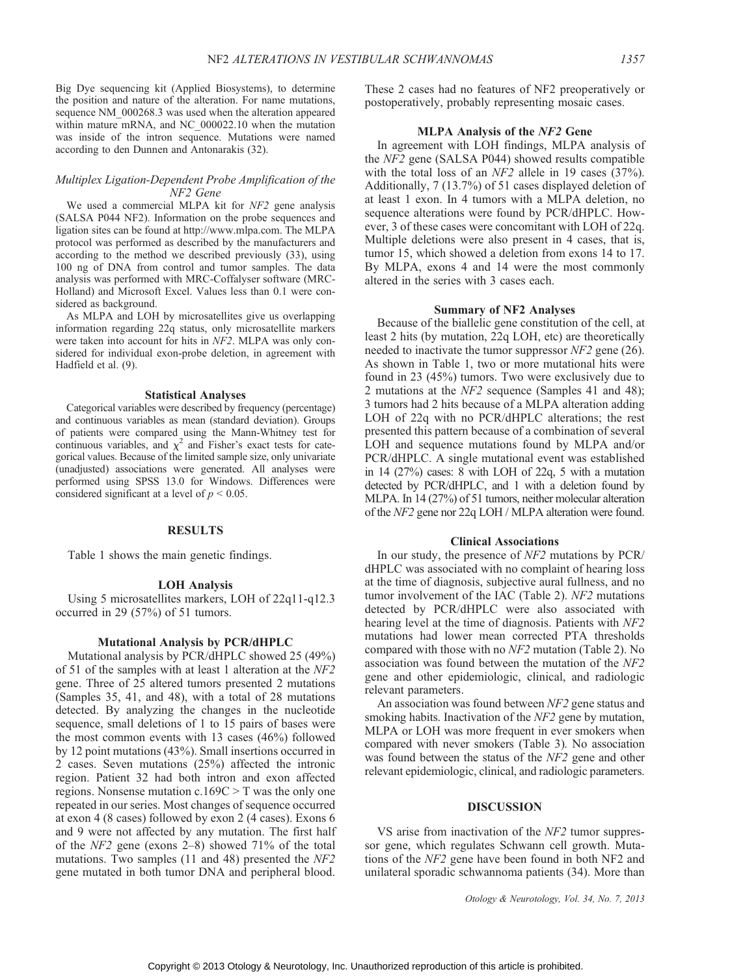Big Dye sequencing kit (Applied Biosystems), to determine the position and nature of the alteration. For name mutations, sequence NM  $000268.3$  was used when the alteration appeared within mature mRNA, and NC\_000022.10 when the mutation was inside of the intron sequence. Mutations were named according to den Dunnen and Antonarakis (32).

## Multiplex Ligation-Dependent Probe Amplification of the NF2 Gene

We used a commercial MLPA kit for NF2 gene analysis (SALSA P044 NF2). Information on the probe sequences and ligation sites can be found at [http://www.mlpa.com.](http://www.mlpa.com) The MLPA protocol was performed as described by the manufacturers and according to the method we described previously (33), using 100 ng of DNA from control and tumor samples. The data analysis was performed with MRC-Coffalyser software (MRC-Holland) and Microsoft Excel. Values less than 0.1 were considered as background.

As MLPA and LOH by microsatellites give us overlapping information regarding 22q status, only microsatellite markers were taken into account for hits in NF2. MLPA was only considered for individual exon-probe deletion, in agreement with Hadfield et al. (9).

#### Statistical Analyses

Categorical variables were described by frequency (percentage) and continuous variables as mean (standard deviation). Groups of patients were compared using the Mann-Whitney test for continuous variables, and  $\chi^2$  and Fisher's exact tests for categorical values. Because of the limited sample size, only univariate (unadjusted) associations were generated. All analyses were performed using SPSS 13.0 for Windows. Differences were considered significant at a level of  $p < 0.05$ .

## **RESULTS**

Table 1 shows the main genetic findings.

# LOH Analysis

Using 5 microsatellites markers, LOH of 22q11-q12.3 occurred in 29 (57%) of 51 tumors.

## Mutational Analysis by PCR/dHPLC

Mutational analysis by PCR/dHPLC showed 25 (49%) of 51 of the samples with at least 1 alteration at the NF2 gene. Three of 25 altered tumors presented 2 mutations (Samples 35, 41, and 48), with a total of 28 mutations detected. By analyzing the changes in the nucleotide sequence, small deletions of 1 to 15 pairs of bases were the most common events with 13 cases (46%) followed by 12 point mutations (43%). Small insertions occurred in 2 cases. Seven mutations (25%) affected the intronic region. Patient 32 had both intron and exon affected regions. Nonsense mutation  $c.169C > T$  was the only one repeated in our series. Most changes of sequence occurred at exon 4 (8 cases) followed by exon 2 (4 cases). Exons 6 and 9 were not affected by any mutation. The first half of the  $NF2$  gene (exons 2-8) showed 71% of the total mutations. Two samples (11 and 48) presented the NF2 gene mutated in both tumor DNA and peripheral blood. These 2 cases had no features of NF2 preoperatively or postoperatively, probably representing mosaic cases.

## MLPA Analysis of the NF2 Gene

In agreement with LOH findings, MLPA analysis of the NF2 gene (SALSA P044) showed results compatible with the total loss of an NF2 allele in 19 cases (37%). Additionally, 7 (13.7%) of 51 cases displayed deletion of at least 1 exon. In 4 tumors with a MLPA deletion, no sequence alterations were found by PCR/dHPLC. However, 3 of these cases were concomitant with LOH of 22q. Multiple deletions were also present in 4 cases, that is, tumor 15, which showed a deletion from exons 14 to 17. By MLPA, exons 4 and 14 were the most commonly altered in the series with 3 cases each.

#### Summary of NF2 Analyses

Because of the biallelic gene constitution of the cell, at least 2 hits (by mutation, 22q LOH, etc) are theoretically needed to inactivate the tumor suppressor NF2 gene (26). As shown in Table 1, two or more mutational hits were found in 23 (45%) tumors. Two were exclusively due to 2 mutations at the NF2 sequence (Samples 41 and 48); 3 tumors had 2 hits because of a MLPA alteration adding LOH of 22q with no PCR/dHPLC alterations; the rest presented this pattern because of a combination of several LOH and sequence mutations found by MLPA and/or PCR/dHPLC. A single mutational event was established in 14 (27%) cases: 8 with LOH of 22q, 5 with a mutation detected by PCR/dHPLC, and 1 with a deletion found by MLPA. In 14 (27%) of 51 tumors, neither molecular alteration of the NF2 gene nor 22q LOH / MLPA alteration were found.

## Clinical Associations

In our study, the presence of NF2 mutations by PCR/ dHPLC was associated with no complaint of hearing loss at the time of diagnosis, subjective aural fullness, and no tumor involvement of the IAC (Table 2). NF2 mutations detected by PCR/dHPLC were also associated with hearing level at the time of diagnosis. Patients with NF2 mutations had lower mean corrected PTA thresholds compared with those with no NF2 mutation (Table 2). No association was found between the mutation of the NF2 gene and other epidemiologic, clinical, and radiologic relevant parameters.

An association was found between NF2 gene status and smoking habits. Inactivation of the NF2 gene by mutation, MLPA or LOH was more frequent in ever smokers when compared with never smokers (Table 3). No association was found between the status of the NF2 gene and other relevant epidemiologic, clinical, and radiologic parameters.

## DISCUSSION

VS arise from inactivation of the NF2 tumor suppressor gene, which regulates Schwann cell growth. Mutations of the NF2 gene have been found in both NF2 and unilateral sporadic schwannoma patients (34). More than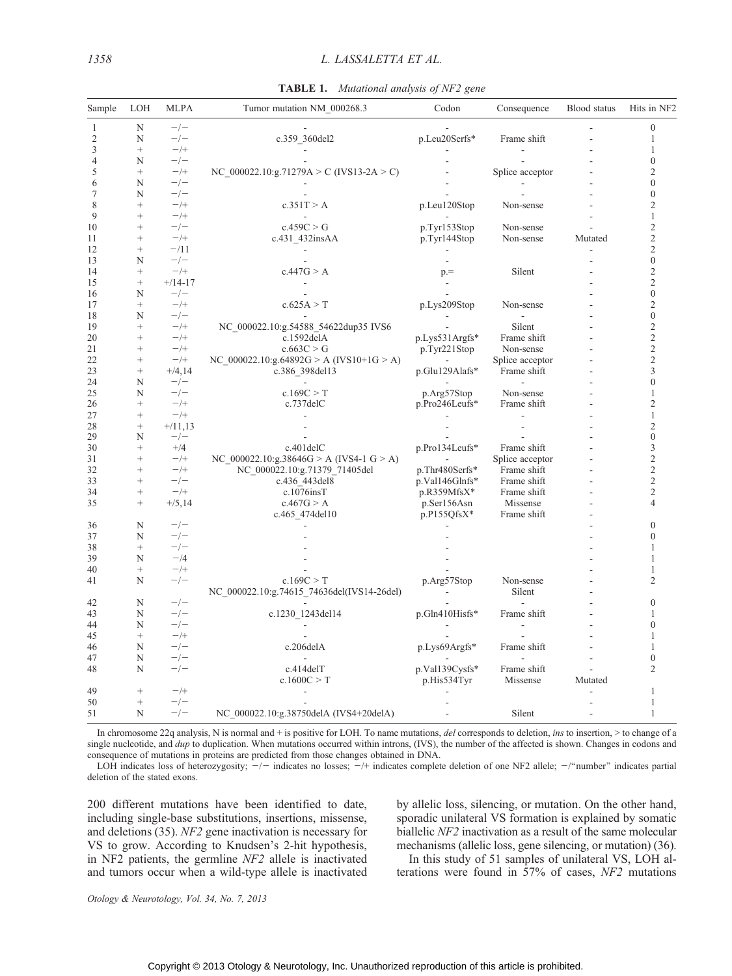| Mutational analysis of NF2 gene<br>TABLE 1. |  |  |  |
|---------------------------------------------|--|--|--|
|---------------------------------------------|--|--|--|

| Sample         | LOH               | <b>MLPA</b>     | Tumor mutation NM 000268.3                  | Codon            | Consequence                | Blood status | Hits in NF2                      |
|----------------|-------------------|-----------------|---------------------------------------------|------------------|----------------------------|--------------|----------------------------------|
| 1              | N                 | $-/-$           |                                             |                  |                            |              | $\mathbf{0}$                     |
| $\overline{2}$ | N                 | $-/-$           | c.359 360del2                               | p.Leu20Serfs*    | Frame shift                |              | 1                                |
| 3              | $^{+}$            | $-$ /+          |                                             |                  |                            |              | 1                                |
| 4              | N                 | $-/-$           |                                             |                  | $\overline{a}$             |              | $\mathbf{0}$                     |
| 5              | $\! + \!\!\!\!$   | $-$ /+          | NC 000022.10:g.71279A > C (IVS13-2A > C)    |                  | Splice acceptor            |              | $\overline{2}$                   |
| 6              | N                 | $-/-$           |                                             |                  |                            |              | $\theta$                         |
| 7              | N                 | $-/-$           |                                             |                  |                            |              | $\theta$                         |
| 8              | $^{+}$            | $-/+$           | c.351T > A                                  | p.Leu120Stop     | Non-sense                  |              | $\overline{c}$                   |
| 9              | $^{+}$            | $-/+$           | $\sim$                                      |                  |                            |              | $\mathbf{1}$                     |
| 10             | $^{+}$            | $-\prime -$     | c.459C > G                                  | p.Tyr153Stop     | Non-sense                  |              | $\overline{c}$                   |
| 11             | $^{+}$            | $-/+$           | c.431 432insAA                              | p.Tyr144Stop     | Non-sense                  | Mutated      | $\overline{c}$                   |
| 12             | $\! + \!\!\!\!$   | $-111$          |                                             |                  |                            |              | $\overline{2}$                   |
| 13             | N                 | $-/-$           |                                             |                  |                            |              | $\theta$                         |
| 14             | $^{+}$            | $-$ /+          | c.447G > A                                  | $p =$            | Silent                     |              | $\overline{c}$                   |
| 15             | $\! + \!\!\!\!$   | $+/14-17$       | $\sim$                                      | $\sim$           |                            |              | $\overline{c}$                   |
| 16             | N                 | $-/-$           |                                             |                  |                            |              | $\mathbf{0}$                     |
| 17             | $^{+}$            | $-/+$           | c.625A > T                                  | p.Lys209Stop     | Non-sense                  |              | $\overline{2}$                   |
| 18             | N                 | $-\prime-$      |                                             |                  | ÷,                         |              | $\boldsymbol{0}$                 |
| 19             | $^{+}$            | $-/+$           | NC_000022.10:g.54588_54622dup35 IVS6        |                  | Silent                     |              | $\overline{2}$                   |
| 20             | $^{+}$            | $-$ /+          | $c.1592$ delA                               | p.Lys531Argfs*   | Frame shift                |              | $\overline{2}$                   |
| 21             | $^{+}$            | $-$ /+          | c.663C > G                                  | p.Tyr221Stop     | Non-sense                  |              | $\overline{c}$                   |
| 22             | $^{+}$            | $-/+$           | NC $000022.10$ :g.64892G > A (IVS10+1G > A) |                  | Splice acceptor            |              | $\overline{2}$                   |
| 23             | $^{+}$            | $+/4,14$        | c.386_398del13                              | p.Glu129Alafs*   | Frame shift                |              | 3                                |
| 24             | N                 | $-/-$           |                                             |                  |                            |              | $\overline{0}$                   |
| 25             | N                 | $-/-$           | c.169C > T                                  | p.Arg57Stop      | Non-sense                  |              | 1                                |
| 26             | $^{+}$            | $-$ /+          | c.737delC                                   | p.Pro246Leufs*   | Frame shift                |              | 2                                |
| 27             | $^{+}$            | $-/+$           |                                             |                  |                            |              | $\mathbf{1}$                     |
| 28             | $\! + \!\!\!\!$   | $+/11,13$       |                                             |                  |                            |              | $\overline{2}$<br>$\overline{0}$ |
| 29             | N                 | $-\prime -$     |                                             |                  |                            |              |                                  |
| 30             | $\! + \!\!\!\!$   | $^{+/4}$        | $c.401$ del $C$                             | p.Pro134Leufs*   | Frame shift                |              | 3<br>$\overline{2}$              |
| 31<br>32       | $^{+}$<br>$^{+}$  | $-/+$<br>$-$ /+ | NC 000022.10:g.38646G > A (IVS4-1 G > A)    |                  | Splice acceptor            |              | $\overline{c}$                   |
|                | $^{+}$            | $-/-$           | NC_000022.10:g.71379_71405del               | p.Thr480Serfs*   | Frame shift                |              | $\overline{c}$                   |
| 33<br>34       | $^{+}$            | $-/+$           | c.436 443 del 8<br>$c.1076$ insT            | p.Val146Glnfs*   | Frame shift<br>Frame shift |              | $\overline{c}$                   |
| 35             | $^{+}$            |                 | c.467G > A                                  | $p.R359MfsX*$    | Missense                   |              | 4                                |
|                |                   | $+/5,14$        |                                             | p.Ser156Asn      | Frame shift                |              |                                  |
| 36             | N                 | $-/-$           | c.465 474 del 10                            | $p.P155QfsX*$    |                            |              | $\mathbf{0}$                     |
| 37             | N                 | $-/-$           |                                             |                  |                            |              | $\theta$                         |
| 38             | $^{+}$            | $-/-$           |                                             |                  |                            |              | 1                                |
| 39             | N                 | $-/4$           |                                             |                  |                            |              | 1                                |
| 40             | $^{+}$            | $-$ /+          |                                             |                  |                            |              | 1                                |
| 41             | N                 | $-/-$           | c.169C > T                                  |                  | Non-sense                  |              | $\overline{2}$                   |
|                |                   |                 |                                             | p.Arg57Stop      | Silent                     |              |                                  |
|                | N                 | $-/-$           | NC 000022.10:g.74615 74636del(IVS14-26del)  |                  |                            |              | $\mathbf{0}$                     |
| 42<br>43       | N                 | $-\prime-$      |                                             |                  |                            |              | 1                                |
|                | N                 | $-\prime -$     | c.1230 1243del14                            | $p.Gln410Hisfs*$ | Frame shift                |              | $\mathbf{0}$                     |
| 44<br>45       | $^{+}$            | $-$ /+          |                                             |                  |                            |              | 1                                |
|                |                   | $-/-$           |                                             |                  |                            |              | $\mathbf{1}$                     |
| 46<br>47       | N<br>N            | $-/-$           | c.206delA                                   | p.Lys69Argfs*    | Frame shift                |              | $\mathbf{0}$                     |
| 48             | N                 | $-/-$           | $c.414$ del $T$                             | p.Val139Cysfs*   | Frame shift                |              | $\overline{2}$                   |
|                |                   |                 | c.1600C > T                                 |                  | Missense                   | Mutated      |                                  |
| 49             | $^{+}$            | $-$ /+          |                                             | p.His534Tyr      |                            |              | 1                                |
| 50             | $\qquad \qquad +$ | $-/-$           |                                             |                  |                            |              | $\mathbf{1}$                     |
| 51             | N                 | $-/-$           | NC_000022.10:g.38750delA (IVS4+20delA)      |                  | Silent                     |              | $\mathbf{1}$                     |
|                |                   |                 |                                             |                  |                            |              |                                  |

In chromosome 22q analysis, N is normal and + is positive for LOH. To name mutations, del corresponds to deletion, ins to insertion,  $>$  to change of a single nucleotide, and *dup* to duplication. When mutations occurred within introns, (IVS), the number of the affected is shown. Changes in codons and consequence of mutations in proteins are predicted from those changes obtained in DNA.

LOH indicates loss of heterozygosity;  $\frac{1}{z}$  indicates no losses;  $\frac{1}{z}$  indicates complete deletion of one NF2 allele;  $\frac{1}{z}$  number" indicates partial deletion of the stated exons.

200 different mutations have been identified to date, including single-base substitutions, insertions, missense, and deletions (35). NF2 gene inactivation is necessary for VS to grow. According to Knudsen's 2-hit hypothesis, in NF2 patients, the germline NF2 allele is inactivated and tumors occur when a wild-type allele is inactivated by allelic loss, silencing, or mutation. On the other hand, sporadic unilateral VS formation is explained by somatic biallelic NF2 inactivation as a result of the same molecular mechanisms (allelic loss, gene silencing, or mutation) (36).

In this study of 51 samples of unilateral VS, LOH alterations were found in 57% of cases, NF2 mutations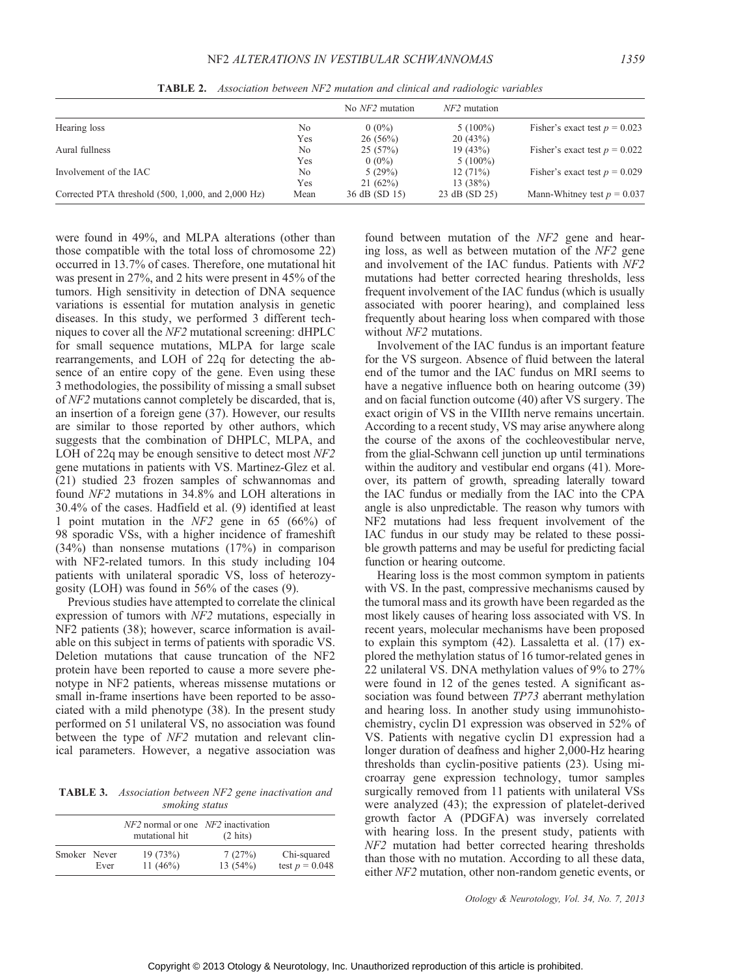|                                                        |      | No <i>NF2</i> mutation | $NF2$ mutation |                                 |
|--------------------------------------------------------|------|------------------------|----------------|---------------------------------|
| Hearing loss                                           | No   | $0(0\%)$               | $5(100\%)$     | Fisher's exact test $p = 0.023$ |
|                                                        | Yes  | $26(56\%)$             | 20(43%)        |                                 |
| Aural fullness                                         | No   | 25(57%)                | 19(43%)        | Fisher's exact test $p = 0.022$ |
|                                                        | Yes  | $0(0\%)$               | $5(100\%)$     |                                 |
| Involvement of the IAC                                 | No   | 5(29%)                 | $12(71\%)$     | Fisher's exact test $p = 0.029$ |
|                                                        | Yes  | 21(62%)                | 13(38%)        |                                 |
| Corrected PTA threshold $(500, 1,000,$ and $2,000$ Hz) | Mean | 36 dB (SD 15)          | 23 dB (SD 25)  | Mann-Whitney test $p = 0.037$   |

TABLE 2. Association between NF2 mutation and clinical and radiologic variables

were found in 49%, and MLPA alterations (other than those compatible with the total loss of chromosome 22) occurred in 13.7% of cases. Therefore, one mutational hit was present in 27%, and 2 hits were present in 45% of the tumors. High sensitivity in detection of DNA sequence variations is essential for mutation analysis in genetic diseases. In this study, we performed 3 different techniques to cover all the NF2 mutational screening: dHPLC for small sequence mutations, MLPA for large scale rearrangements, and LOH of 22q for detecting the absence of an entire copy of the gene. Even using these 3 methodologies, the possibility of missing a small subset of NF2 mutations cannot completely be discarded, that is, an insertion of a foreign gene (37). However, our results are similar to those reported by other authors, which suggests that the combination of DHPLC, MLPA, and LOH of 22q may be enough sensitive to detect most NF2 gene mutations in patients with VS. Martinez-Glez et al. (21) studied 23 frozen samples of schwannomas and found NF2 mutations in 34.8% and LOH alterations in 30.4% of the cases. Hadfield et al. (9) identified at least 1 point mutation in the NF2 gene in 65 (66%) of 98 sporadic VSs, with a higher incidence of frameshift (34%) than nonsense mutations (17%) in comparison with NF2-related tumors. In this study including 104 patients with unilateral sporadic VS, loss of heterozygosity (LOH) was found in 56% of the cases (9).

Previous studies have attempted to correlate the clinical expression of tumors with NF2 mutations, especially in NF2 patients (38); however, scarce information is available on this subject in terms of patients with sporadic VS. Deletion mutations that cause truncation of the NF2 protein have been reported to cause a more severe phenotype in NF2 patients, whereas missense mutations or small in-frame insertions have been reported to be associated with a mild phenotype (38). In the present study performed on 51 unilateral VS, no association was found between the type of NF2 mutation and relevant clinical parameters. However, a negative association was

TABLE 3. Association between NF2 gene inactivation and smoking status

|              |      | $NF2$ normal or one $NF2$ inactivation<br>mutational hit | $(2 \text{ hits})$ |                                 |
|--------------|------|----------------------------------------------------------|--------------------|---------------------------------|
| Smoker Never | Ever | 19(73%)<br>11 $(46%)$                                    | 7(27%)<br>13(54%)  | Chi-squared<br>test $p = 0.048$ |

found between mutation of the NF2 gene and hearing loss, as well as between mutation of the NF2 gene and involvement of the IAC fundus. Patients with NF2 mutations had better corrected hearing thresholds, less frequent involvement of the IAC fundus (which is usually associated with poorer hearing), and complained less frequently about hearing loss when compared with those without NF2 mutations.

Involvement of the IAC fundus is an important feature for the VS surgeon. Absence of fluid between the lateral end of the tumor and the IAC fundus on MRI seems to have a negative influence both on hearing outcome (39) and on facial function outcome (40) after VS surgery. The exact origin of VS in the VIIIth nerve remains uncertain. According to a recent study, VS may arise anywhere along the course of the axons of the cochleovestibular nerve, from the glial-Schwann cell junction up until terminations within the auditory and vestibular end organs (41). Moreover, its pattern of growth, spreading laterally toward the IAC fundus or medially from the IAC into the CPA angle is also unpredictable. The reason why tumors with NF2 mutations had less frequent involvement of the IAC fundus in our study may be related to these possible growth patterns and may be useful for predicting facial function or hearing outcome.

Hearing loss is the most common symptom in patients with VS. In the past, compressive mechanisms caused by the tumoral mass and its growth have been regarded as the most likely causes of hearing loss associated with VS. In recent years, molecular mechanisms have been proposed to explain this symptom (42). Lassaletta et al.  $(17)$  explored the methylation status of 16 tumor-related genes in 22 unilateral VS. DNA methylation values of 9% to 27% were found in 12 of the genes tested. A significant association was found between TP73 aberrant methylation and hearing loss. In another study using immunohistochemistry, cyclin D1 expression was observed in 52% of VS. Patients with negative cyclin D1 expression had a longer duration of deafness and higher 2,000-Hz hearing thresholds than cyclin-positive patients (23). Using microarray gene expression technology, tumor samples surgically removed from 11 patients with unilateral VSs were analyzed (43); the expression of platelet-derived growth factor A (PDGFA) was inversely correlated with hearing loss. In the present study, patients with NF2 mutation had better corrected hearing thresholds than those with no mutation. According to all these data, either NF2 mutation, other non-random genetic events, or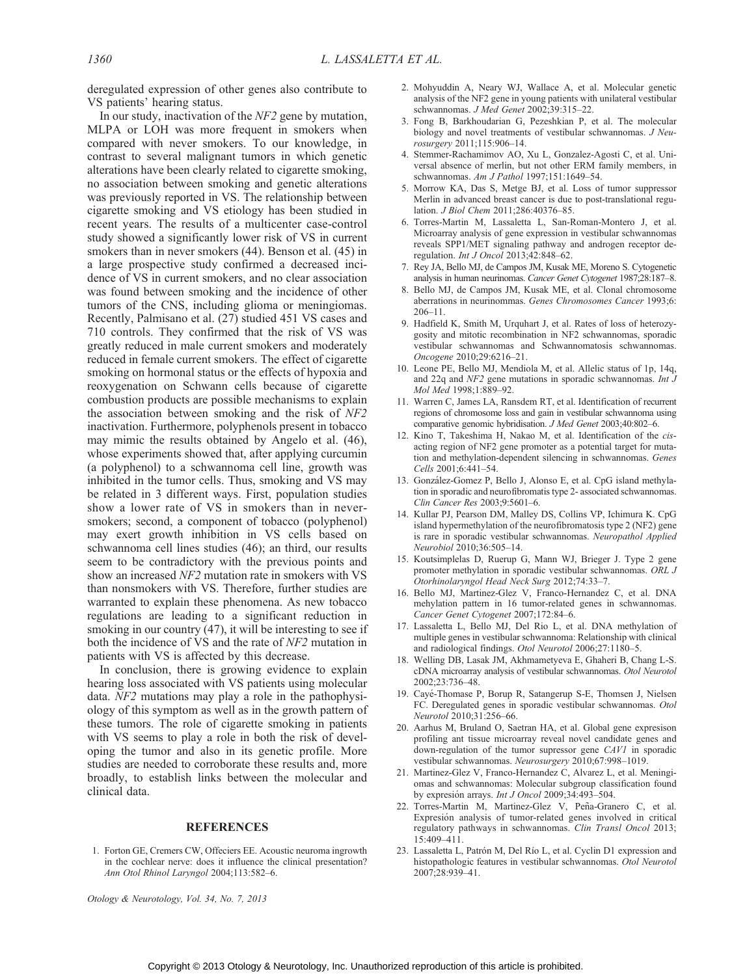deregulated expression of other genes also contribute to VS patients' hearing status.

In our study, inactivation of the NF2 gene by mutation, MLPA or LOH was more frequent in smokers when compared with never smokers. To our knowledge, in contrast to several malignant tumors in which genetic alterations have been clearly related to cigarette smoking, no association between smoking and genetic alterations was previously reported in VS. The relationship between cigarette smoking and VS etiology has been studied in recent years. The results of a multicenter case-control study showed a significantly lower risk of VS in current smokers than in never smokers (44). Benson et al. (45) in a large prospective study confirmed a decreased incidence of VS in current smokers, and no clear association was found between smoking and the incidence of other tumors of the CNS, including glioma or meningiomas. Recently, Palmisano et al. (27) studied 451 VS cases and 710 controls. They confirmed that the risk of VS was greatly reduced in male current smokers and moderately reduced in female current smokers. The effect of cigarette smoking on hormonal status or the effects of hypoxia and reoxygenation on Schwann cells because of cigarette combustion products are possible mechanisms to explain the association between smoking and the risk of NF2 inactivation. Furthermore, polyphenols present in tobacco may mimic the results obtained by Angelo et al. (46), whose experiments showed that, after applying curcumin (a polyphenol) to a schwannoma cell line, growth was inhibited in the tumor cells. Thus, smoking and VS may be related in 3 different ways. First, population studies show a lower rate of VS in smokers than in neversmokers; second, a component of tobacco (polyphenol) may exert growth inhibition in VS cells based on schwannoma cell lines studies (46); an third, our results seem to be contradictory with the previous points and show an increased NF2 mutation rate in smokers with VS than nonsmokers with VS. Therefore, further studies are warranted to explain these phenomena. As new tobacco regulations are leading to a significant reduction in smoking in our country  $(47)$ , it will be interesting to see if both the incidence of VS and the rate of NF2 mutation in patients with VS is affected by this decrease.

In conclusion, there is growing evidence to explain hearing loss associated with VS patients using molecular data. NF2 mutations may play a role in the pathophysiology of this symptom as well as in the growth pattern of these tumors. The role of cigarette smoking in patients with VS seems to play a role in both the risk of developing the tumor and also in its genetic profile. More studies are needed to corroborate these results and, more broadly, to establish links between the molecular and clinical data.

## REFERENCES

1. Forton GE, Cremers CW, Offeciers EE. Acoustic neuroma ingrowth in the cochlear nerve: does it influence the clinical presentation? Ann Otol Rhinol Laryngol 2004;113:582-6.

- 2. Mohyuddin A, Neary WJ, Wallace A, et al. Molecular genetic analysis of the NF2 gene in young patients with unilateral vestibular schwannomas. J Med Genet 2002;39:315-22.
- 3. Fong B, Barkhoudarian G, Pezeshkian P, et al. The molecular biology and novel treatments of vestibular schwannomas. *J Neu*rosurgery 2011;115:906-14.
- 4. Stemmer-Rachamimov AO, Xu L, Gonzalez-Agosti C, et al. Universal absence of merlin, but not other ERM family members, in schwannomas. Am J Pathol 1997;151:1649-54.
- 5. Morrow KA, Das S, Metge BJ, et al. Loss of tumor suppressor Merlin in advanced breast cancer is due to post-translational regulation. J Biol Chem 2011;286:40376-85.
- 6. Torres-Martin M, Lassaletta L, San-Roman-Montero J, et al. Microarray analysis of gene expression in vestibular schwannomas reveals SPP1/MET signaling pathway and androgen receptor deregulation. Int J Oncol 2013;42:848-62.
- 7. Rey JA, Bello MJ, de Campos JM, Kusak ME, Moreno S. Cytogenetic analysis in human neurinomas. Cancer Genet Cytogenet 1987;28:187-8.
- 8. Bello MJ, de Campos JM, Kusak ME, et al. Clonal chromosome aberrations in neurinommas. Genes Chromosomes Cancer 1993;6:  $206 - 11.$
- 9. Hadfield K, Smith M, Urquhart J, et al. Rates of loss of heterozygosity and mitotic recombination in NF2 schwannomas, sporadic vestibular schwannomas and Schwannomatosis schwannomas. Oncogene 2010;29:6216-21.
- 10. Leone PE, Bello MJ, Mendiola M, et al. Allelic status of 1p, 14q, and 22q and NF2 gene mutations in sporadic schwannomas. Int J Mol Med 1998;1:889-92.
- 11. Warren C, James LA, Ransdem RT, et al. Identification of recurrent regions of chromosome loss and gain in vestibular schwannoma using comparative genomic hybridisation. J Med Genet 2003;40:802-6.
- 12. Kino T, Takeshima H, Nakao M, et al. Identification of the cisacting region of NF2 gene promoter as a potential target for mutation and methylation-dependent silencing in schwannomas. Genes Cells 2001:6:441-54.
- 13. González-Gomez P, Bello J, Alonso E, et al. CpG island methylation in sporadic and neurofibromatis type 2- associated schwannomas. Clin Cancer Res 2003;9:5601-6.
- 14. Kullar PJ, Pearson DM, Malley DS, Collins VP, Ichimura K. CpG island hypermethylation of the neurofibromatosis type 2 (NF2) gene is rare in sporadic vestibular schwannomas. Neuropathol Applied Neurobiol 2010:36:505-14.
- 15. Koutsimplelas D, Ruerup G, Mann WJ, Brieger J. Type 2 gene promoter methylation in sporadic vestibular schwannomas. ORL J Otorhinolaryngol Head Neck Surg 2012;74:33-7.
- 16. Bello MJ, Martinez-Glez V, Franco-Hernandez C, et al. DNA mehylation pattern in 16 tumor-related genes in schwannomas. Cancer Genet Cytogenet 2007;172:84-6.
- 17. Lassaletta L, Bello MJ, Del Rio L, et al. DNA methylation of multiple genes in vestibular schwannoma: Relationship with clinical and radiological findings. Otol Neurotol 2006;27:1180-5.
- 18. Welling DB, Lasak JM, Akhmametyeva E, Ghaheri B, Chang L-S. cDNA microarray analysis of vestibular schwannomas. Otol Neurotol 2002;23:736-48.
- 19. Cayé-Thomase P, Borup R, Satangerup S-E, Thomsen J, Nielsen FC. Deregulated genes in sporadic vestibular schwannomas. Otol Neurotol 2010;31:256-66.
- 20. Aarhus M, Bruland O, Saetran HA, et al. Global gene expresison profiling ant tissue microarray reveal novel candidate genes and down-regulation of the tumor supressor gene CAV1 in sporadic vestibular schwannomas. Neurosurgery 2010;67:998-1019.
- 21. Martinez-Glez V, Franco-Hernandez C, Alvarez L, et al. Meningiomas and schwannomas: Molecular subgroup classification found by expresión arrays. Int J Oncol 2009;34:493-504.
- 22. Torres-Martin M, Martinez-Glez V, Peña-Granero C, et al. Expresión analysis of tumor-related genes involved in critical regulatory pathways in schwannomas. Clin Transl Oncol 2013; 15:409-411.
- 23. Lassaletta L, Patrón M, Del Río L, et al. Cyclin D1 expression and histopathologic features in vestibular schwannomas. Otol Neurotol 2007:28:939-41.